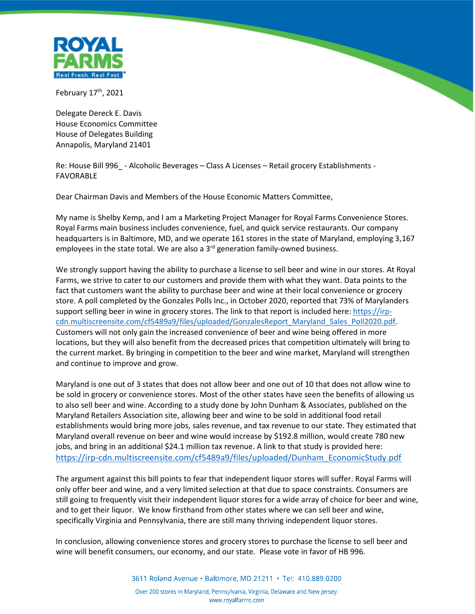

February 17<sup>th</sup>, 2021

Delegate Dereck E. Davis House Economics Committee House of Delegates Building Annapolis, Maryland 21401

Re: House Bill 996 - Alcoholic Beverages – Class A Licenses – Retail grocery Establishments -FAVORABLE

Dear Chairman Davis and Members of the House Economic Matters Committee,

My name is Shelby Kemp, and I am a Marketing Project Manager for Royal Farms Convenience Stores. Royal Farms main business includes convenience, fuel, and quick service restaurants. Our company headquarters is in Baltimore, MD, and we operate 161 stores in the state of Maryland, employing 3,167 employees in the state total. We are also a  $3<sup>rd</sup>$  generation family-owned business.

We strongly support having the ability to purchase a license to sell beer and wine in our stores. At Royal Farms, we strive to cater to our customers and provide them with what they want. Data points to the fact that customers want the ability to purchase beer and wine at their local convenience or grocery store. A poll completed by the Gonzales Polls Inc., in October 2020, reported that 73% of Marylanders support selling beer in wine in grocery stores. The link to that report is included here: [https://irp](https://irp-cdn.multiscreensite.com/cf5489a9/files/uploaded/GonzalesReport_Maryland_Sales_Poll2020.pdf)[cdn.multiscreensite.com/cf5489a9/files/uploaded/GonzalesReport\\_Maryland\\_Sales\\_Poll2020.pdf.](https://irp-cdn.multiscreensite.com/cf5489a9/files/uploaded/GonzalesReport_Maryland_Sales_Poll2020.pdf) Customers will not only gain the increased convenience of beer and wine being offered in more locations, but they will also benefit from the decreased prices that competition ultimately will bring to the current market. By bringing in competition to the beer and wine market, Maryland will strengthen and continue to improve and grow.

Maryland is one out of 3 states that does not allow beer and one out of 10 that does not allow wine to be sold in grocery or convenience stores. Most of the other states have seen the benefits of allowing us to also sell beer and wine. According to a study done by John Dunham & Associates, published on the Maryland Retailers Association site, allowing beer and wine to be sold in additional food retail establishments would bring more jobs, sales revenue, and tax revenue to our state. They estimated that Maryland overall revenue on beer and wine would increase by \$192.8 million, would create 780 new jobs, and bring in an additional \$24.1 million tax revenue. A link to that study is provided here: [https://irp-cdn.multiscreensite.com/cf5489a9/files/uploaded/Dunham\\_EconomicStudy.pdf](https://irp-cdn.multiscreensite.com/cf5489a9/files/uploaded/Dunham_EconomicStudy.pdf)

The argument against this bill points to fear that independent liquor stores will suffer. Royal Farms will only offer beer and wine, and a very limited selection at that due to space constraints. Consumers are still going to frequently visit their independent liquor stores for a wide array of choice for beer and wine, and to get their liquor. We know firsthand from other states where we can sell beer and wine, specifically Virginia and Pennsylvania, there are still many thriving independent liquor stores.

In conclusion, allowing convenience stores and grocery stores to purchase the license to sell beer and wine will benefit consumers, our economy, and our state. Please vote in favor of HB 996.

3611 Roland Avenue · Baltimore, MD 21211 · Tel: 410.889.0200